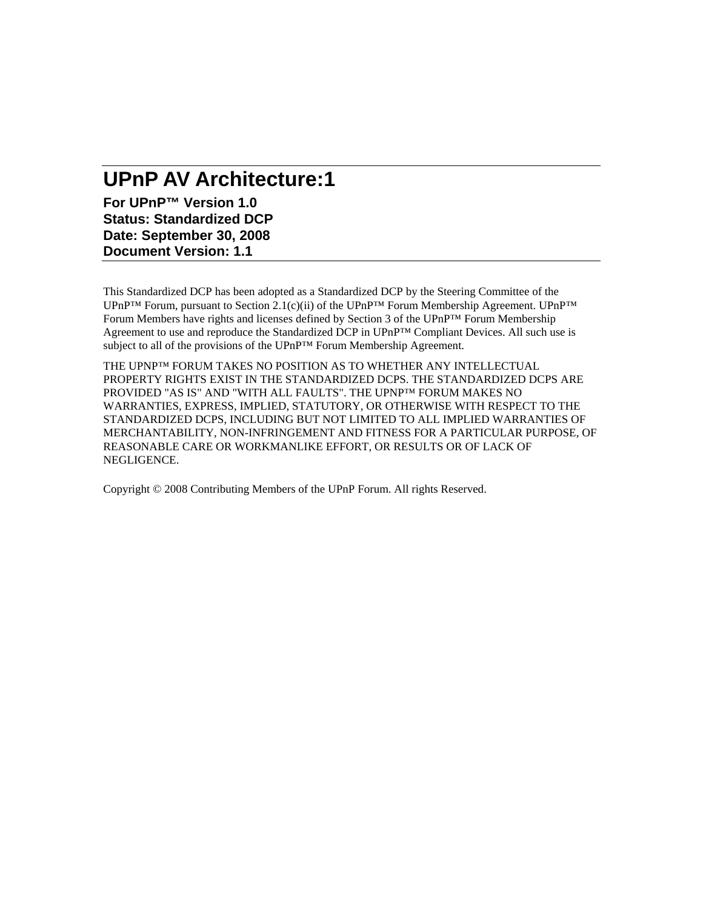# **UPnP AV Architecture:1**

**For UPnP™ Version 1.0 Status: Standardized DCP Date: September 30, 2008 Document Version: 1.1** 

This Standardized DCP has been adopted as a Standardized DCP by the Steering Committee of the UPnP™ Forum, pursuant to Section 2.1(c)(ii) of the UPnP™ Forum Membership Agreement. UPnP™ Forum Members have rights and licenses defined by Section 3 of the UPnP™ Forum Membership Agreement to use and reproduce the Standardized DCP in UPnP™ Compliant Devices. All such use is subject to all of the provisions of the UPnP™ Forum Membership Agreement.

THE UPNP™ FORUM TAKES NO POSITION AS TO WHETHER ANY INTELLECTUAL PROPERTY RIGHTS EXIST IN THE STANDARDIZED DCPS. THE STANDARDIZED DCPS ARE PROVIDED "AS IS" AND "WITH ALL FAULTS". THE UPNP™ FORUM MAKES NO WARRANTIES, EXPRESS, IMPLIED, STATUTORY, OR OTHERWISE WITH RESPECT TO THE STANDARDIZED DCPS, INCLUDING BUT NOT LIMITED TO ALL IMPLIED WARRANTIES OF MERCHANTABILITY, NON-INFRINGEMENT AND FITNESS FOR A PARTICULAR PURPOSE, OF REASONABLE CARE OR WORKMANLIKE EFFORT, OR RESULTS OR OF LACK OF NEGLIGENCE.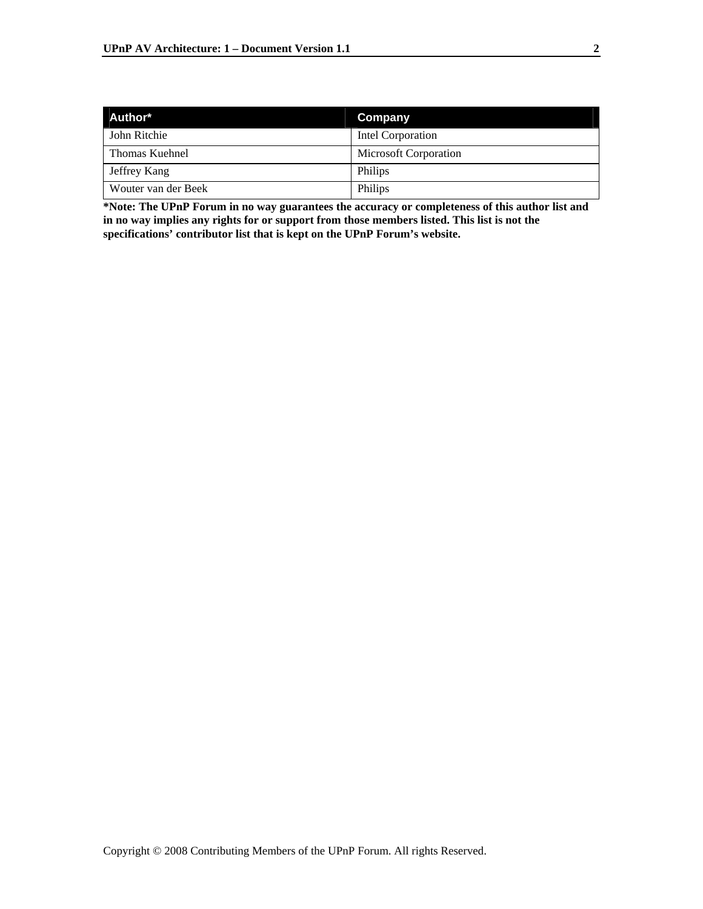| Author*             | Company               |
|---------------------|-----------------------|
| John Ritchie        | Intel Corporation     |
| Thomas Kuehnel      | Microsoft Corporation |
| Jeffrey Kang        | Philips               |
| Wouter van der Beek | Philips               |

**\*Note: The UPnP Forum in no way guarantees the accuracy or completeness of this author list and in no way implies any rights for or support from those members listed. This list is not the specifications' contributor list that is kept on the UPnP Forum's website.**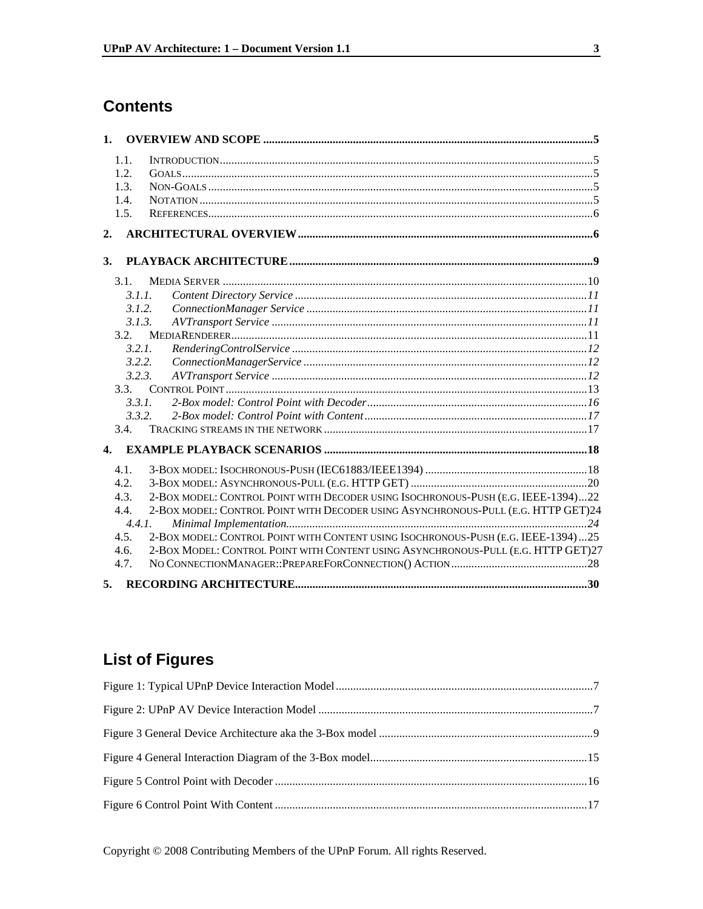## **Contents**

| 1.           |        |                                                                                   |  |
|--------------|--------|-----------------------------------------------------------------------------------|--|
|              | 1.1.   |                                                                                   |  |
|              | 1.2.   |                                                                                   |  |
|              | 1.3.   |                                                                                   |  |
|              | 1.4.   |                                                                                   |  |
|              | 1.5.   |                                                                                   |  |
| 2.           |        |                                                                                   |  |
| 3.           |        |                                                                                   |  |
|              | 3.1.   |                                                                                   |  |
|              | 3.1.1. |                                                                                   |  |
|              | 3.1.2. |                                                                                   |  |
|              | 3.1.3. |                                                                                   |  |
|              | 3.2.   |                                                                                   |  |
|              | 3.2.1. |                                                                                   |  |
|              | 3.2.2. |                                                                                   |  |
|              | 3.2.3. |                                                                                   |  |
|              | 3.3.   |                                                                                   |  |
|              | 3.3.1. |                                                                                   |  |
|              | 3.3.2. |                                                                                   |  |
|              | 3.4.   |                                                                                   |  |
| $\mathbf{4}$ |        |                                                                                   |  |
|              | 4.1.   |                                                                                   |  |
|              | 4.2.   |                                                                                   |  |
|              | 4.3.   | 2-BOX MODEL: CONTROL POINT WITH DECODER USING ISOCHRONOUS-PUSH (E.G. IEEE-1394)22 |  |
|              | 4.4.   | 2-BOX MODEL: CONTROL POINT WITH DECODER USING ASYNCHRONOUS-PULL (E.G. HTTP GET)24 |  |
|              | 4.4.1. |                                                                                   |  |
|              | 4.5.   | 2-BOX MODEL: CONTROL POINT WITH CONTENT USING ISOCHRONOUS-PUSH (E.G. IEEE-1394)25 |  |
|              | 4.6.   | 2-BOX MODEL: CONTROL POINT WITH CONTENT USING ASYNCHRONOUS-PULL (E.G. HTTP GET)27 |  |
|              | 4.7.   |                                                                                   |  |
| 5.           |        |                                                                                   |  |

# **List of Figures**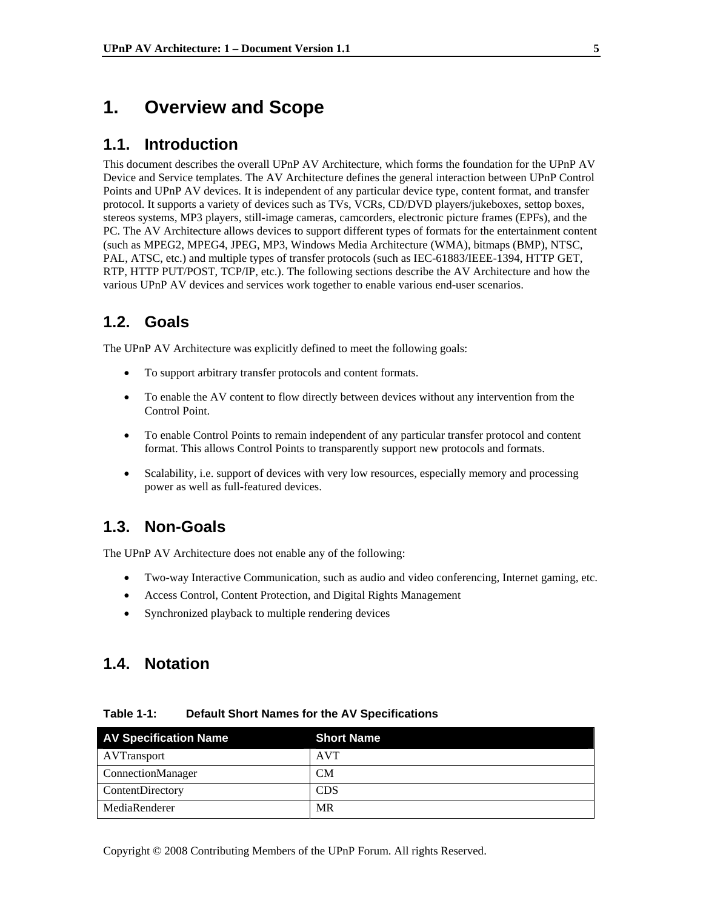### **1. Overview and Scope**

#### **1.1. Introduction**

This document describes the overall UPnP AV Architecture, which forms the foundation for the UPnP AV Device and Service templates. The AV Architecture defines the general interaction between UPnP Control Points and UPnP AV devices. It is independent of any particular device type, content format, and transfer protocol. It supports a variety of devices such as TVs, VCRs, CD/DVD players/jukeboxes, settop boxes, stereos systems, MP3 players, still-image cameras, camcorders, electronic picture frames (EPFs), and the PC. The AV Architecture allows devices to support different types of formats for the entertainment content (such as MPEG2, MPEG4, JPEG, MP3, Windows Media Architecture (WMA), bitmaps (BMP), NTSC, PAL, ATSC, etc.) and multiple types of transfer protocols (such as IEC-61883/IEEE-1394, HTTP GET, RTP, HTTP PUT/POST, TCP/IP, etc.). The following sections describe the AV Architecture and how the various UPnP AV devices and services work together to enable various end-user scenarios.

### **1.2. Goals**

The UPnP AV Architecture was explicitly defined to meet the following goals:

- To support arbitrary transfer protocols and content formats.
- To enable the AV content to flow directly between devices without any intervention from the Control Point.
- To enable Control Points to remain independent of any particular transfer protocol and content format. This allows Control Points to transparently support new protocols and formats.
- Scalability, i.e. support of devices with very low resources, especially memory and processing power as well as full-featured devices.

#### **1.3. Non-Goals**

The UPnP AV Architecture does not enable any of the following:

- Two-way Interactive Communication, such as audio and video conferencing, Internet gaming, etc.
- Access Control, Content Protection, and Digital Rights Management
- Synchronized playback to multiple rendering devices

### **1.4. Notation**

| <b>AV Specification Name</b> | <b>Short Name</b> |
|------------------------------|-------------------|
| <b>AVTransport</b>           | <b>AVT</b>        |
| ConnectionManager            | <b>CM</b>         |
| <b>ContentDirectory</b>      | <b>CDS</b>        |
| MediaRenderer                | MR                |

**Table 1-1: Default Short Names for the AV Specifications**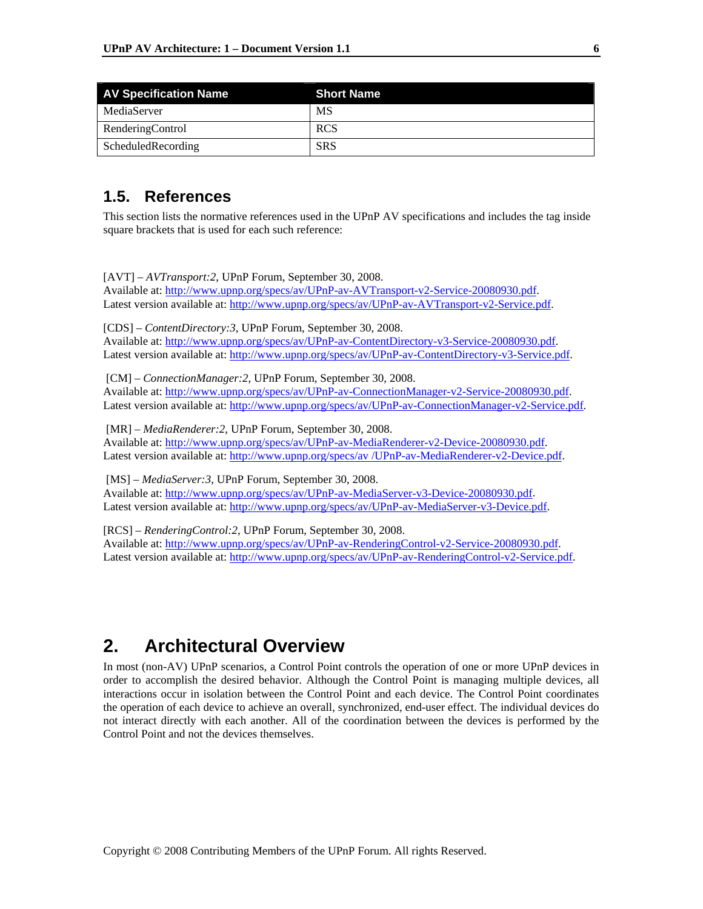| <b>AV Specification Name</b> | <b>Short Name</b> |
|------------------------------|-------------------|
| MediaServer                  | MS                |
| RenderingControl             | <b>RCS</b>        |
| ScheduledRecording           | <b>SRS</b>        |

### **1.5. References**

This section lists the normative references used in the UPnP AV specifications and includes the tag inside square brackets that is used for each such reference:

[AVT] – *AVTransport:2*, UPnP Forum, September 30, 2008. Available at: http://www.upnp.org/specs/av/UPnP-av-AVTransport-v2-Service-20080930.pdf. Latest version available at: http://www.upnp.org/specs/av/UPnP-av-AVTransport-v2-Service.pdf.

[CDS] – *ContentDirectory:3*, UPnP Forum, September 30, 2008. Available at: http://www.upnp.org/specs/av/UPnP-av-ContentDirectory-v3-Service-20080930.pdf. Latest version available at: http://www.upnp.org/specs/av/UPnP-av-ContentDirectory-v3-Service.pdf.

 [CM] – *ConnectionManager:2*, UPnP Forum, September 30, 2008. Available at: http://www.upnp.org/specs/av/UPnP-av-ConnectionManager-v2-Service-20080930.pdf. Latest version available at: http://www.upnp.org/specs/av/UPnP-av-ConnectionManager-v2-Service.pdf.

 [MR] – *MediaRenderer:2*, UPnP Forum, September 30, 2008. Available at: http://www.upnp.org/specs/av/UPnP-av-MediaRenderer-v2-Device-20080930.pdf. Latest version available at: http://www.upnp.org/specs/av /UPnP-av-MediaRenderer-v2-Device.pdf.

 [MS] – *MediaServer:3*, UPnP Forum, September 30, 2008. Available at: http://www.upnp.org/specs/av/UPnP-av-MediaServer-v3-Device-20080930.pdf. Latest version available at: http://www.upnp.org/specs/av/UPnP-av-MediaServer-v3-Device.pdf.

[RCS] – *RenderingControl:2*, UPnP Forum, September 30, 2008. Available at: http://www.upnp.org/specs/av/UPnP-av-RenderingControl-v2-Service-20080930.pdf. Latest version available at: http://www.upnp.org/specs/av/UPnP-av-RenderingControl-v2-Service.pdf.

## **2. Architectural Overview**

In most (non-AV) UPnP scenarios, a Control Point controls the operation of one or more UPnP devices in order to accomplish the desired behavior. Although the Control Point is managing multiple devices, all interactions occur in isolation between the Control Point and each device. The Control Point coordinates the operation of each device to achieve an overall, synchronized, end-user effect. The individual devices do not interact directly with each another. All of the coordination between the devices is performed by the Control Point and not the devices themselves.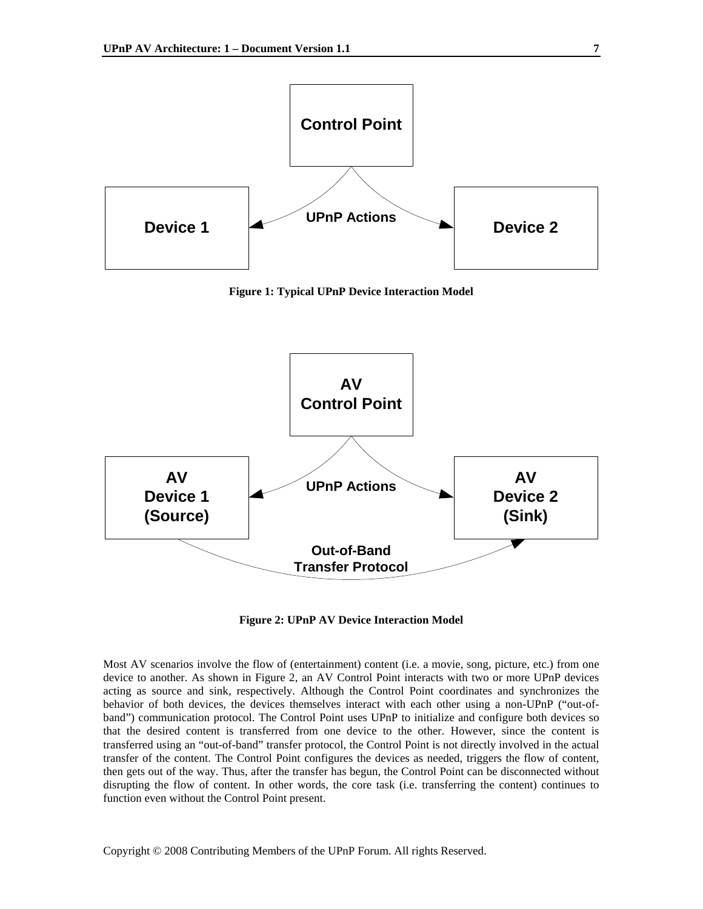

**Figure 1: Typical UPnP Device Interaction Model** 



**Figure 2: UPnP AV Device Interaction Model** 

Most AV scenarios involve the flow of (entertainment) content (i.e. a movie, song, picture, etc.) from one device to another. As shown in Figure 2, an AV Control Point interacts with two or more UPnP devices acting as source and sink, respectively. Although the Control Point coordinates and synchronizes the behavior of both devices, the devices themselves interact with each other using a non-UPnP ("out-ofband") communication protocol. The Control Point uses UPnP to initialize and configure both devices so that the desired content is transferred from one device to the other. However, since the content is transferred using an "out-of-band" transfer protocol, the Control Point is not directly involved in the actual transfer of the content. The Control Point configures the devices as needed, triggers the flow of content, then gets out of the way. Thus, after the transfer has begun, the Control Point can be disconnected without disrupting the flow of content. In other words, the core task (i.e. transferring the content) continues to function even without the Control Point present.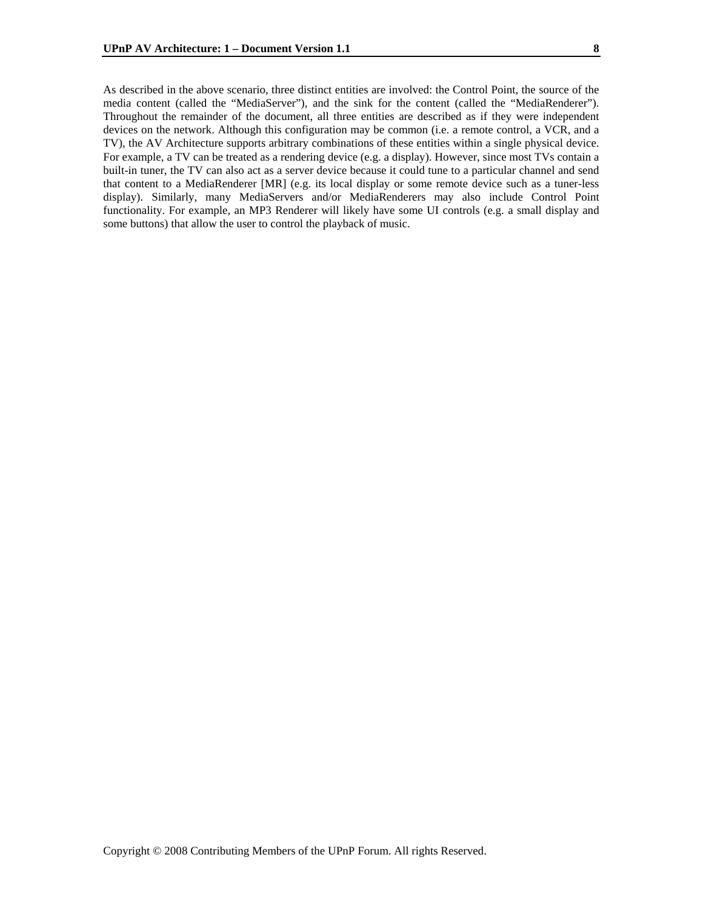As described in the above scenario, three distinct entities are involved: the Control Point, the source of the media content (called the "MediaServer"), and the sink for the content (called the "MediaRenderer"). Throughout the remainder of the document, all three entities are described as if they were independent devices on the network. Although this configuration may be common (i.e. a remote control, a VCR, and a TV), the AV Architecture supports arbitrary combinations of these entities within a single physical device. For example, a TV can be treated as a rendering device (e.g. a display). However, since most TVs contain a built-in tuner, the TV can also act as a server device because it could tune to a particular channel and send that content to a MediaRenderer [MR] (e.g. its local display or some remote device such as a tuner-less display). Similarly, many MediaServers and/or MediaRenderers may also include Control Point functionality. For example, an MP3 Renderer will likely have some UI controls (e.g. a small display and some buttons) that allow the user to control the playback of music.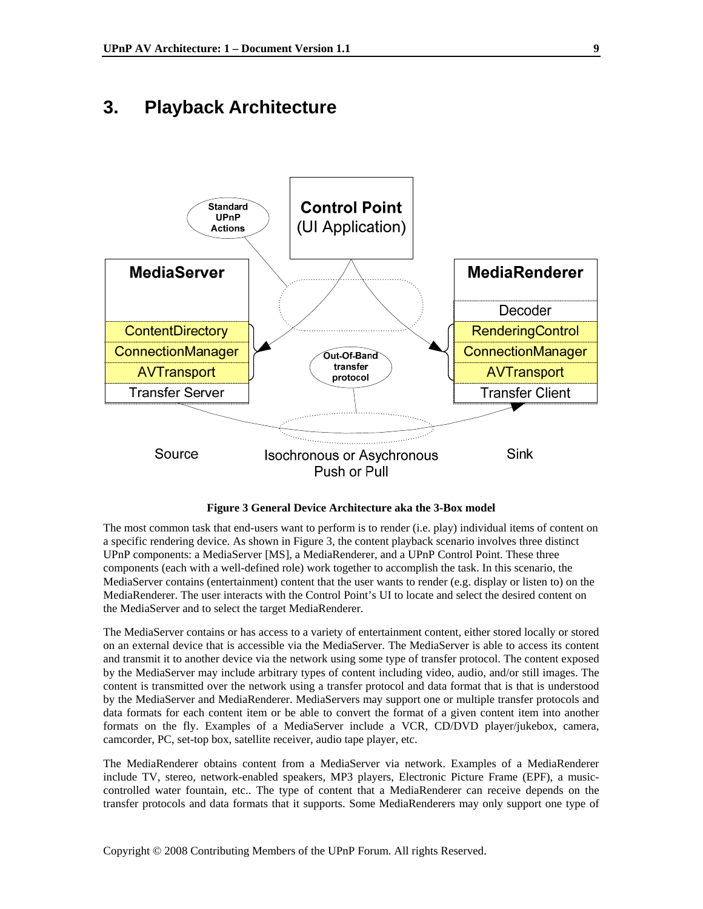### **3. Playback Architecture**



**Figure 3 General Device Architecture aka the 3-Box model** 

The most common task that end-users want to perform is to render (i.e. play) individual items of content on a specific rendering device. As shown in Figure 3, the content playback scenario involves three distinct UPnP components: a MediaServer [MS], a MediaRenderer, and a UPnP Control Point. These three components (each with a well-defined role) work together to accomplish the task. In this scenario, the MediaServer contains (entertainment) content that the user wants to render (e.g. display or listen to) on the MediaRenderer. The user interacts with the Control Point's UI to locate and select the desired content on the MediaServer and to select the target MediaRenderer.

The MediaServer contains or has access to a variety of entertainment content, either stored locally or stored on an external device that is accessible via the MediaServer. The MediaServer is able to access its content and transmit it to another device via the network using some type of transfer protocol. The content exposed by the MediaServer may include arbitrary types of content including video, audio, and/or still images. The content is transmitted over the network using a transfer protocol and data format that is that is understood by the MediaServer and MediaRenderer. MediaServers may support one or multiple transfer protocols and data formats for each content item or be able to convert the format of a given content item into another formats on the fly. Examples of a MediaServer include a VCR, CD/DVD player/jukebox, camera, camcorder, PC, set-top box, satellite receiver, audio tape player, etc.

The MediaRenderer obtains content from a MediaServer via network. Examples of a MediaRenderer include TV, stereo, network-enabled speakers, MP3 players, Electronic Picture Frame (EPF), a musiccontrolled water fountain, etc.. The type of content that a MediaRenderer can receive depends on the transfer protocols and data formats that it supports. Some MediaRenderers may only support one type of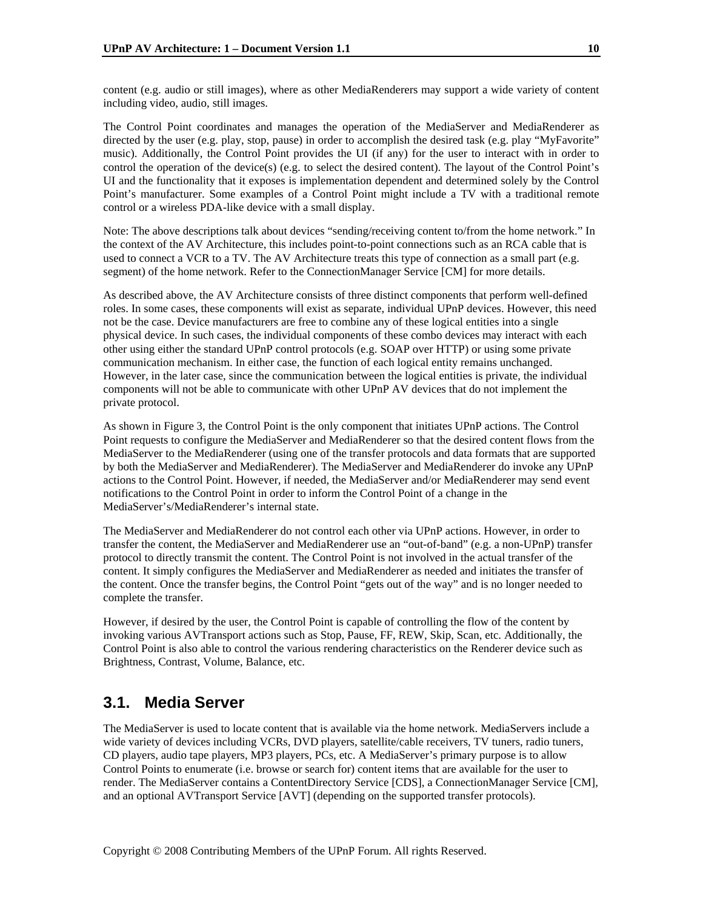content (e.g. audio or still images), where as other MediaRenderers may support a wide variety of content including video, audio, still images.

The Control Point coordinates and manages the operation of the MediaServer and MediaRenderer as directed by the user (e.g. play, stop, pause) in order to accomplish the desired task (e.g. play "MyFavorite" music). Additionally, the Control Point provides the UI (if any) for the user to interact with in order to control the operation of the device(s) (e.g. to select the desired content). The layout of the Control Point's UI and the functionality that it exposes is implementation dependent and determined solely by the Control Point's manufacturer. Some examples of a Control Point might include a TV with a traditional remote control or a wireless PDA-like device with a small display.

Note: The above descriptions talk about devices "sending/receiving content to/from the home network." In the context of the AV Architecture, this includes point-to-point connections such as an RCA cable that is used to connect a VCR to a TV. The AV Architecture treats this type of connection as a small part (e.g. segment) of the home network. Refer to the ConnectionManager Service [CM] for more details.

As described above, the AV Architecture consists of three distinct components that perform well-defined roles. In some cases, these components will exist as separate, individual UPnP devices. However, this need not be the case. Device manufacturers are free to combine any of these logical entities into a single physical device. In such cases, the individual components of these combo devices may interact with each other using either the standard UPnP control protocols (e.g. SOAP over HTTP) or using some private communication mechanism. In either case, the function of each logical entity remains unchanged. However, in the later case, since the communication between the logical entities is private, the individual components will not be able to communicate with other UPnP AV devices that do not implement the private protocol.

As shown in Figure 3, the Control Point is the only component that initiates UPnP actions. The Control Point requests to configure the MediaServer and MediaRenderer so that the desired content flows from the MediaServer to the MediaRenderer (using one of the transfer protocols and data formats that are supported by both the MediaServer and MediaRenderer). The MediaServer and MediaRenderer do invoke any UPnP actions to the Control Point. However, if needed, the MediaServer and/or MediaRenderer may send event notifications to the Control Point in order to inform the Control Point of a change in the MediaServer's/MediaRenderer's internal state.

The MediaServer and MediaRenderer do not control each other via UPnP actions. However, in order to transfer the content, the MediaServer and MediaRenderer use an "out-of-band" (e.g. a non-UPnP) transfer protocol to directly transmit the content. The Control Point is not involved in the actual transfer of the content. It simply configures the MediaServer and MediaRenderer as needed and initiates the transfer of the content. Once the transfer begins, the Control Point "gets out of the way" and is no longer needed to complete the transfer.

However, if desired by the user, the Control Point is capable of controlling the flow of the content by invoking various AVTransport actions such as Stop, Pause, FF, REW, Skip, Scan, etc. Additionally, the Control Point is also able to control the various rendering characteristics on the Renderer device such as Brightness, Contrast, Volume, Balance, etc.

### **3.1. Media Server**

The MediaServer is used to locate content that is available via the home network. MediaServers include a wide variety of devices including VCRs, DVD players, satellite/cable receivers, TV tuners, radio tuners, CD players, audio tape players, MP3 players, PCs, etc. A MediaServer's primary purpose is to allow Control Points to enumerate (i.e. browse or search for) content items that are available for the user to render. The MediaServer contains a ContentDirectory Service [CDS], a ConnectionManager Service [CM], and an optional AVTransport Service [AVT] (depending on the supported transfer protocols).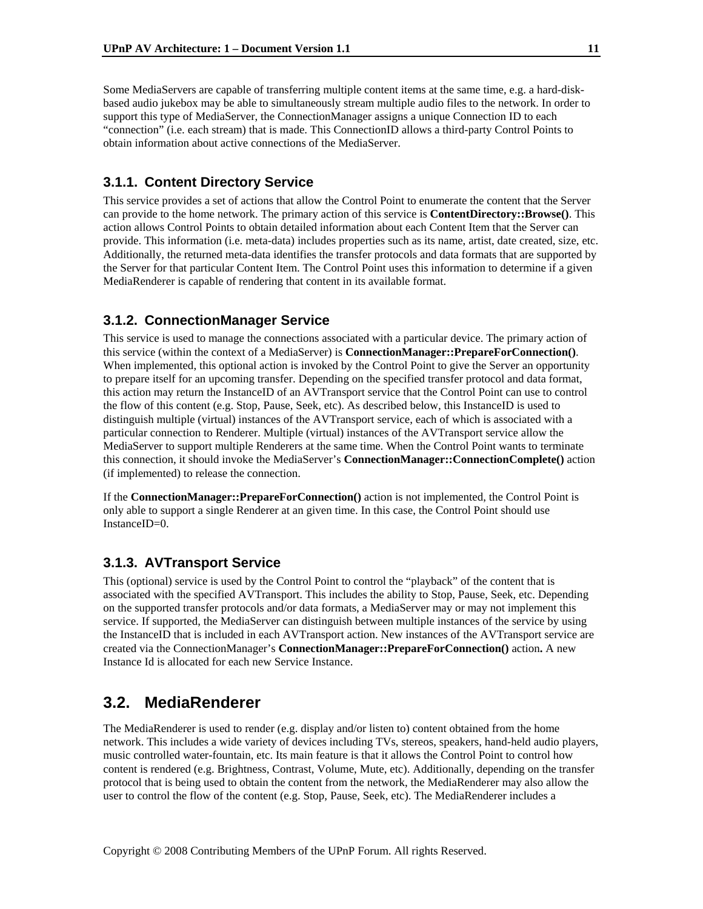Some MediaServers are capable of transferring multiple content items at the same time, e.g. a hard-diskbased audio jukebox may be able to simultaneously stream multiple audio files to the network. In order to support this type of MediaServer, the ConnectionManager assigns a unique Connection ID to each "connection" (i.e. each stream) that is made. This ConnectionID allows a third-party Control Points to obtain information about active connections of the MediaServer.

#### **3.1.1. Content Directory Service**

This service provides a set of actions that allow the Control Point to enumerate the content that the Server can provide to the home network. The primary action of this service is **ContentDirectory::Browse()**. This action allows Control Points to obtain detailed information about each Content Item that the Server can provide. This information (i.e. meta-data) includes properties such as its name, artist, date created, size, etc. Additionally, the returned meta-data identifies the transfer protocols and data formats that are supported by the Server for that particular Content Item. The Control Point uses this information to determine if a given MediaRenderer is capable of rendering that content in its available format.

#### **3.1.2. ConnectionManager Service**

This service is used to manage the connections associated with a particular device. The primary action of this service (within the context of a MediaServer) is **ConnectionManager::PrepareForConnection()**. When implemented, this optional action is invoked by the Control Point to give the Server an opportunity to prepare itself for an upcoming transfer. Depending on the specified transfer protocol and data format, this action may return the InstanceID of an AVTransport service that the Control Point can use to control the flow of this content (e.g. Stop, Pause, Seek, etc). As described below, this InstanceID is used to distinguish multiple (virtual) instances of the AVTransport service, each of which is associated with a particular connection to Renderer. Multiple (virtual) instances of the AVTransport service allow the MediaServer to support multiple Renderers at the same time. When the Control Point wants to terminate this connection, it should invoke the MediaServer's **ConnectionManager::ConnectionComplete()** action (if implemented) to release the connection.

If the **ConnectionManager::PrepareForConnection()** action is not implemented, the Control Point is only able to support a single Renderer at an given time. In this case, the Control Point should use InstanceID=0.

#### **3.1.3. AVTransport Service**

This (optional) service is used by the Control Point to control the "playback" of the content that is associated with the specified AVTransport. This includes the ability to Stop, Pause, Seek, etc. Depending on the supported transfer protocols and/or data formats, a MediaServer may or may not implement this service. If supported, the MediaServer can distinguish between multiple instances of the service by using the InstanceID that is included in each AVTransport action. New instances of the AVTransport service are created via the ConnectionManager's **ConnectionManager::PrepareForConnection()** action**.** A new Instance Id is allocated for each new Service Instance.

### **3.2. MediaRenderer**

The MediaRenderer is used to render (e.g. display and/or listen to) content obtained from the home network. This includes a wide variety of devices including TVs, stereos, speakers, hand-held audio players, music controlled water-fountain, etc. Its main feature is that it allows the Control Point to control how content is rendered (e.g. Brightness, Contrast, Volume, Mute, etc). Additionally, depending on the transfer protocol that is being used to obtain the content from the network, the MediaRenderer may also allow the user to control the flow of the content (e.g. Stop, Pause, Seek, etc). The MediaRenderer includes a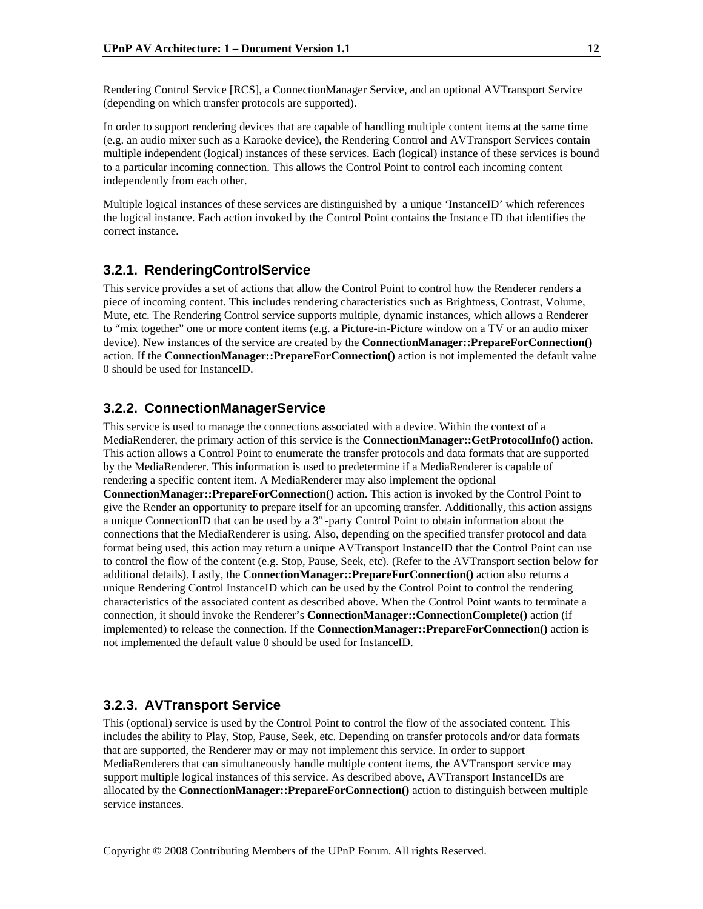Rendering Control Service [RCS], a ConnectionManager Service, and an optional AVTransport Service (depending on which transfer protocols are supported).

In order to support rendering devices that are capable of handling multiple content items at the same time (e.g. an audio mixer such as a Karaoke device), the Rendering Control and AVTransport Services contain multiple independent (logical) instances of these services. Each (logical) instance of these services is bound to a particular incoming connection. This allows the Control Point to control each incoming content independently from each other.

Multiple logical instances of these services are distinguished by a unique 'InstanceID' which references the logical instance. Each action invoked by the Control Point contains the Instance ID that identifies the correct instance.

#### **3.2.1. RenderingControlService**

This service provides a set of actions that allow the Control Point to control how the Renderer renders a piece of incoming content. This includes rendering characteristics such as Brightness, Contrast, Volume, Mute, etc. The Rendering Control service supports multiple, dynamic instances, which allows a Renderer to "mix together" one or more content items (e.g. a Picture-in-Picture window on a TV or an audio mixer device). New instances of the service are created by the **ConnectionManager::PrepareForConnection()** action. If the **ConnectionManager::PrepareForConnection()** action is not implemented the default value 0 should be used for InstanceID.

#### **3.2.2. ConnectionManagerService**

This service is used to manage the connections associated with a device. Within the context of a MediaRenderer, the primary action of this service is the **ConnectionManager::GetProtocolInfo()** action. This action allows a Control Point to enumerate the transfer protocols and data formats that are supported by the MediaRenderer. This information is used to predetermine if a MediaRenderer is capable of rendering a specific content item. A MediaRenderer may also implement the optional **ConnectionManager::PrepareForConnection()** action. This action is invoked by the Control Point to give the Render an opportunity to prepare itself for an upcoming transfer. Additionally, this action assigns a unique ConnectionID that can be used by a  $3<sup>rd</sup>$ -party Control Point to obtain information about the connections that the MediaRenderer is using. Also, depending on the specified transfer protocol and data format being used, this action may return a unique AVTransport InstanceID that the Control Point can use to control the flow of the content (e.g. Stop, Pause, Seek, etc). (Refer to the AVTransport section below for additional details). Lastly, the **ConnectionManager::PrepareForConnection()** action also returns a unique Rendering Control InstanceID which can be used by the Control Point to control the rendering characteristics of the associated content as described above. When the Control Point wants to terminate a connection, it should invoke the Renderer's **ConnectionManager::ConnectionComplete()** action (if implemented) to release the connection. If the **ConnectionManager::PrepareForConnection()** action is not implemented the default value 0 should be used for InstanceID.

#### **3.2.3. AVTransport Service**

This (optional) service is used by the Control Point to control the flow of the associated content. This includes the ability to Play, Stop, Pause, Seek, etc. Depending on transfer protocols and/or data formats that are supported, the Renderer may or may not implement this service. In order to support MediaRenderers that can simultaneously handle multiple content items, the AVTransport service may support multiple logical instances of this service. As described above, AVTransport InstanceIDs are allocated by the **ConnectionManager::PrepareForConnection()** action to distinguish between multiple service instances.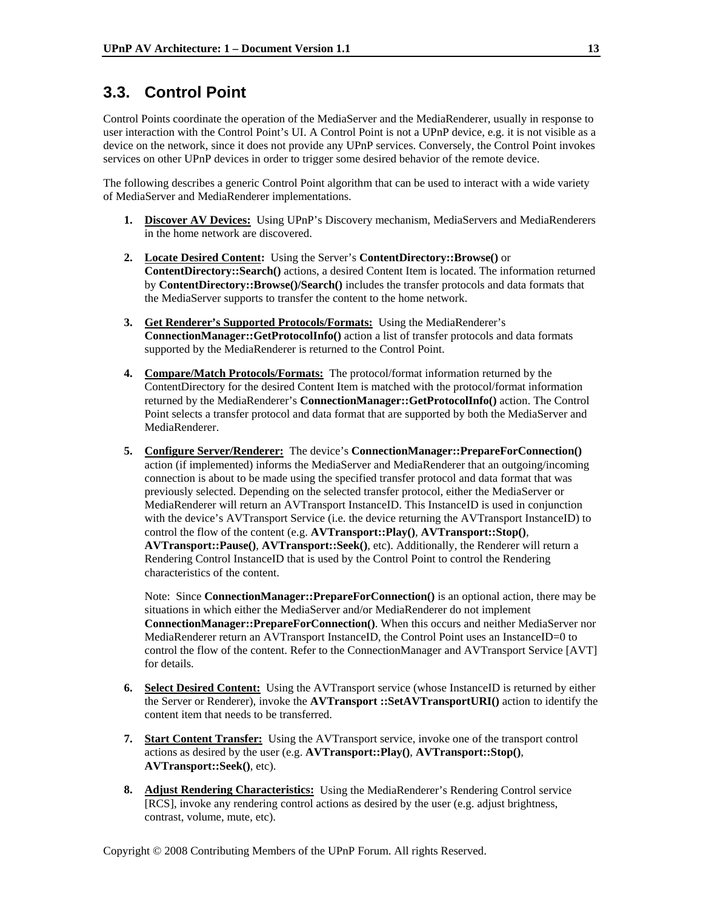### **3.3. Control Point**

Control Points coordinate the operation of the MediaServer and the MediaRenderer, usually in response to user interaction with the Control Point's UI. A Control Point is not a UPnP device, e.g. it is not visible as a device on the network, since it does not provide any UPnP services. Conversely, the Control Point invokes services on other UPnP devices in order to trigger some desired behavior of the remote device.

The following describes a generic Control Point algorithm that can be used to interact with a wide variety of MediaServer and MediaRenderer implementations.

- **1. Discover AV Devices:** Using UPnP's Discovery mechanism, MediaServers and MediaRenderers in the home network are discovered.
- **2. Locate Desired Content:** Using the Server's **ContentDirectory::Browse()** or **ContentDirectory::Search()** actions, a desired Content Item is located. The information returned by **ContentDirectory::Browse()/Search()** includes the transfer protocols and data formats that the MediaServer supports to transfer the content to the home network.
- **3. Get Renderer's Supported Protocols/Formats:** Using the MediaRenderer's **ConnectionManager::GetProtocolInfo()** action a list of transfer protocols and data formats supported by the MediaRenderer is returned to the Control Point.
- **4. Compare/Match Protocols/Formats:** The protocol/format information returned by the ContentDirectory for the desired Content Item is matched with the protocol/format information returned by the MediaRenderer's **ConnectionManager::GetProtocolInfo()** action. The Control Point selects a transfer protocol and data format that are supported by both the MediaServer and MediaRenderer.
- **5. Configure Server/Renderer:** The device's **ConnectionManager::PrepareForConnection()** action (if implemented) informs the MediaServer and MediaRenderer that an outgoing/incoming connection is about to be made using the specified transfer protocol and data format that was previously selected. Depending on the selected transfer protocol, either the MediaServer or MediaRenderer will return an AVTransport InstanceID. This InstanceID is used in conjunction with the device's AVTransport Service (i.e. the device returning the AVTransport InstanceID) to control the flow of the content (e.g. **AVTransport::Play()**, **AVTransport::Stop()**, **AVTransport::Pause()**, **AVTransport::Seek()**, etc). Additionally, the Renderer will return a Rendering Control InstanceID that is used by the Control Point to control the Rendering characteristics of the content.

Note: Since **ConnectionManager::PrepareForConnection()** is an optional action, there may be situations in which either the MediaServer and/or MediaRenderer do not implement **ConnectionManager::PrepareForConnection()**. When this occurs and neither MediaServer nor MediaRenderer return an AVTransport InstanceID, the Control Point uses an InstanceID=0 to control the flow of the content. Refer to the ConnectionManager and AVTransport Service [AVT] for details.

- **6. Select Desired Content:** Using the AVTransport service (whose InstanceID is returned by either the Server or Renderer), invoke the **AVTransport ::SetAVTransportURI()** action to identify the content item that needs to be transferred.
- **7. Start Content Transfer:** Using the AVTransport service, invoke one of the transport control actions as desired by the user (e.g. **AVTransport::Play()**, **AVTransport::Stop()**, **AVTransport::Seek()**, etc).
- **8. Adjust Rendering Characteristics:** Using the MediaRenderer's Rendering Control service [RCS], invoke any rendering control actions as desired by the user (e.g. adjust brightness, contrast, volume, mute, etc).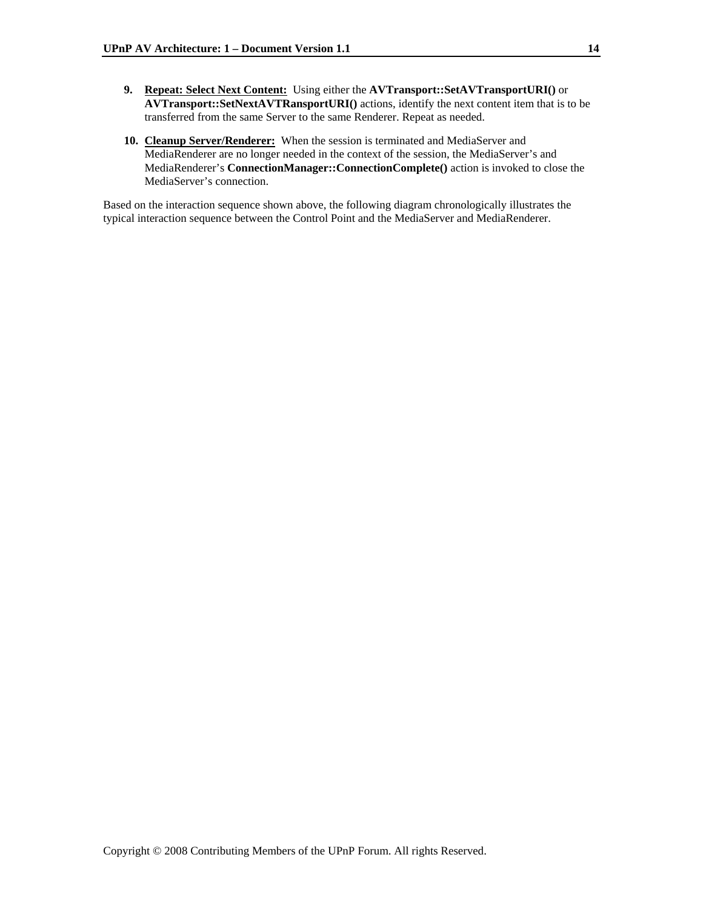- **9. Repeat: Select Next Content:** Using either the **AVTransport::SetAVTransportURI()** or **AVTransport::SetNextAVTRansportURI()** actions, identify the next content item that is to be transferred from the same Server to the same Renderer. Repeat as needed.
- **10. Cleanup Server/Renderer:** When the session is terminated and MediaServer and MediaRenderer are no longer needed in the context of the session, the MediaServer's and MediaRenderer's **ConnectionManager::ConnectionComplete()** action is invoked to close the MediaServer's connection.

Based on the interaction sequence shown above, the following diagram chronologically illustrates the typical interaction sequence between the Control Point and the MediaServer and MediaRenderer.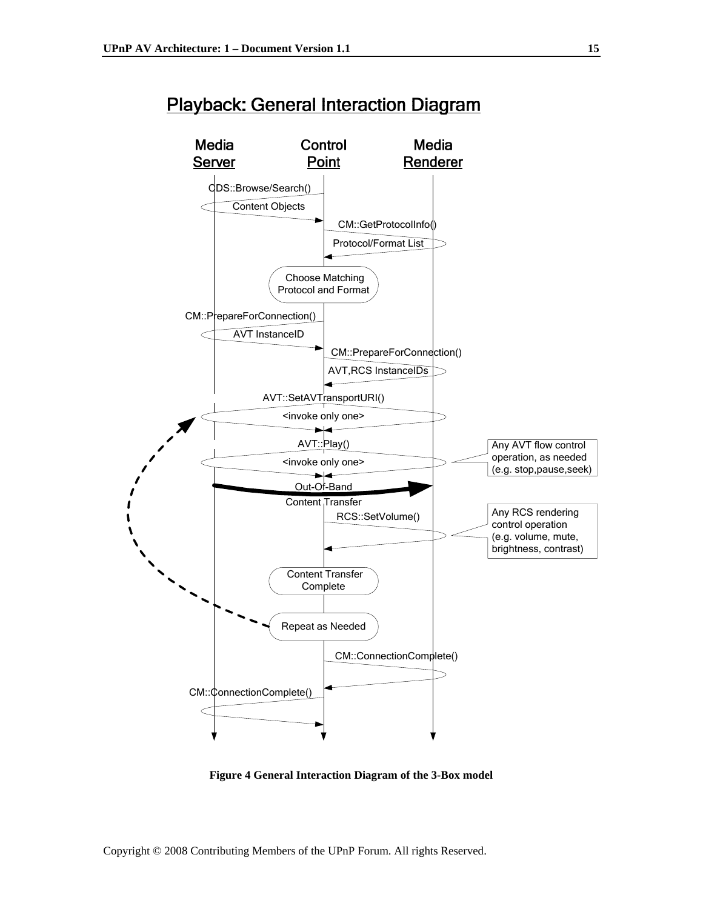



**Figure 4 General Interaction Diagram of the 3-Box model**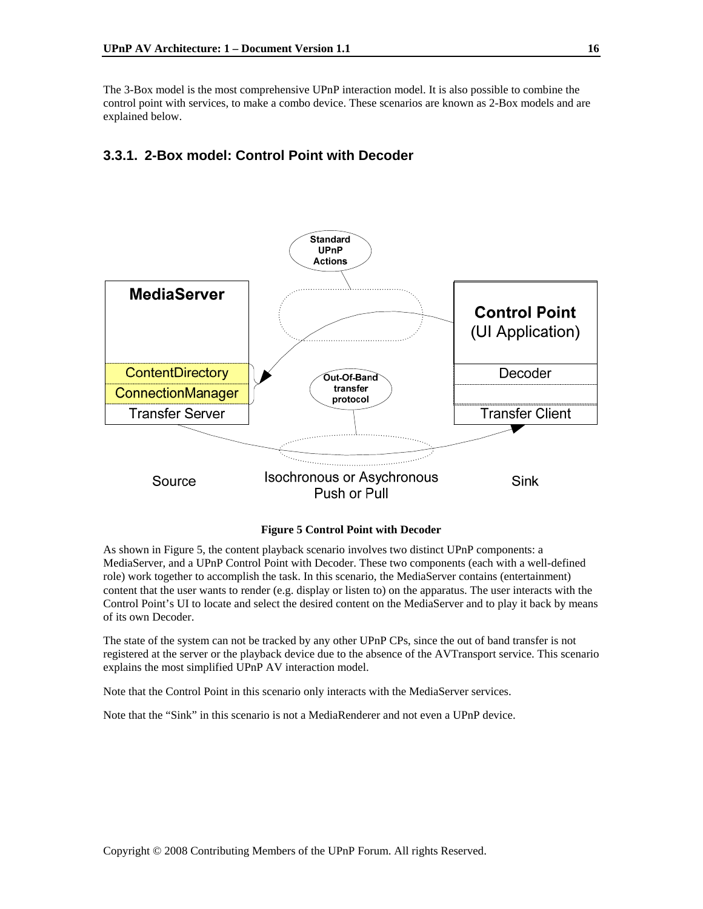The 3-Box model is the most comprehensive UPnP interaction model. It is also possible to combine the control point with services, to make a combo device. These scenarios are known as 2-Box models and are explained below.

#### **3.3.1. 2-Box model: Control Point with Decoder**



#### **Figure 5 Control Point with Decoder**

As shown in Figure 5, the content playback scenario involves two distinct UPnP components: a MediaServer, and a UPnP Control Point with Decoder. These two components (each with a well-defined role) work together to accomplish the task. In this scenario, the MediaServer contains (entertainment) content that the user wants to render (e.g. display or listen to) on the apparatus. The user interacts with the Control Point's UI to locate and select the desired content on the MediaServer and to play it back by means of its own Decoder.

The state of the system can not be tracked by any other UPnP CPs, since the out of band transfer is not registered at the server or the playback device due to the absence of the AVTransport service. This scenario explains the most simplified UPnP AV interaction model.

Note that the Control Point in this scenario only interacts with the MediaServer services.

Note that the "Sink" in this scenario is not a MediaRenderer and not even a UPnP device.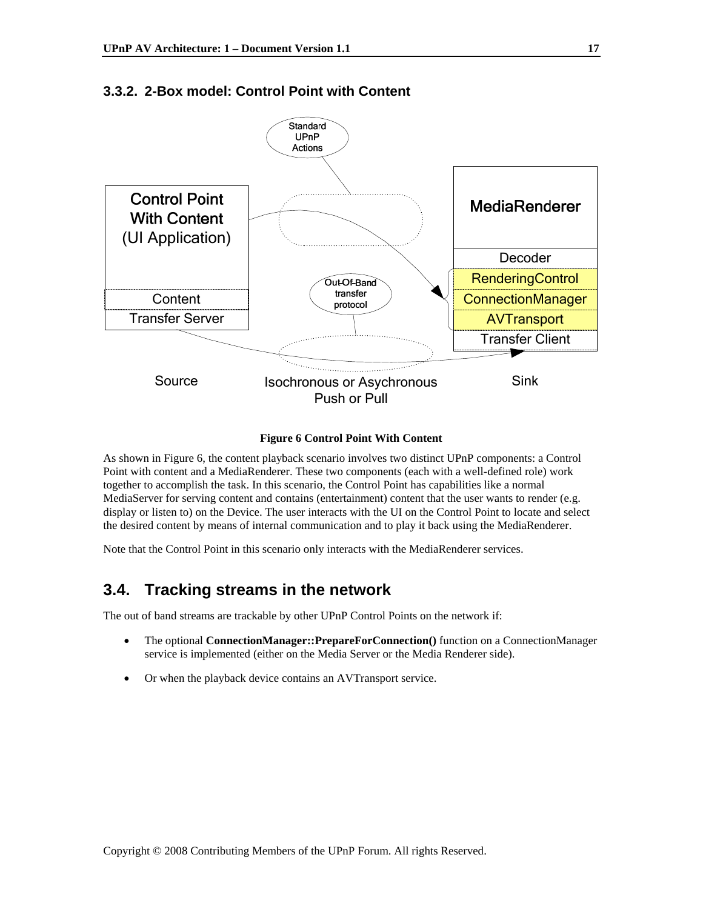

#### **3.3.2. 2-Box model: Control Point with Content**



As shown in Figure 6, the content playback scenario involves two distinct UPnP components: a Control Point with content and a MediaRenderer. These two components (each with a well-defined role) work together to accomplish the task. In this scenario, the Control Point has capabilities like a normal MediaServer for serving content and contains (entertainment) content that the user wants to render (e.g. display or listen to) on the Device. The user interacts with the UI on the Control Point to locate and select the desired content by means of internal communication and to play it back using the MediaRenderer.

Note that the Control Point in this scenario only interacts with the MediaRenderer services.

### **3.4. Tracking streams in the network**

The out of band streams are trackable by other UPnP Control Points on the network if:

- The optional **ConnectionManager::PrepareForConnection()** function on a ConnectionManager service is implemented (either on the Media Server or the Media Renderer side).
- Or when the playback device contains an AVTransport service.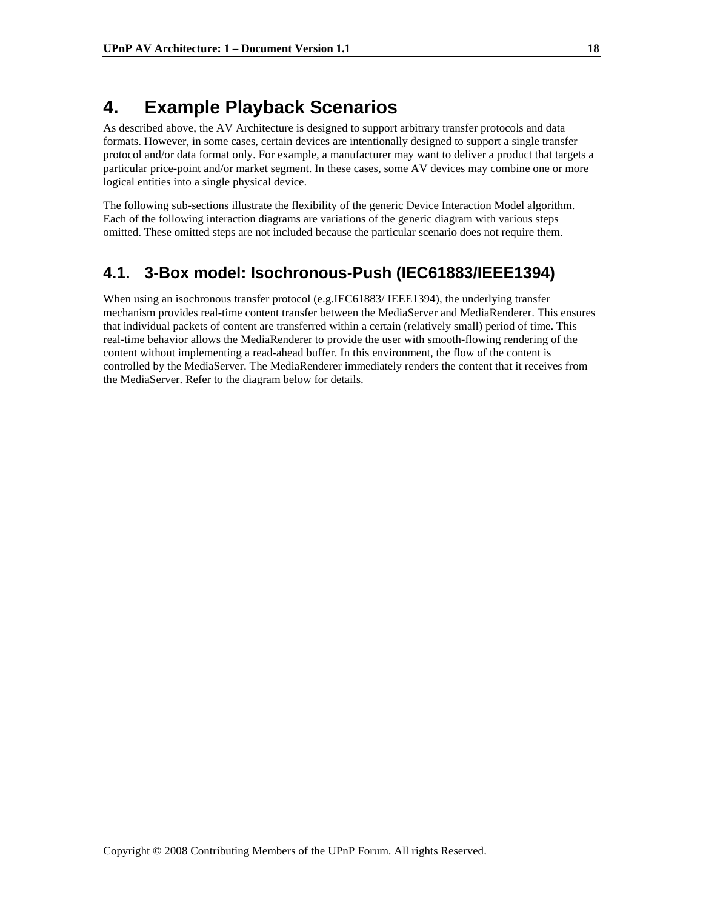## **4. Example Playback Scenarios**

As described above, the AV Architecture is designed to support arbitrary transfer protocols and data formats. However, in some cases, certain devices are intentionally designed to support a single transfer protocol and/or data format only. For example, a manufacturer may want to deliver a product that targets a particular price-point and/or market segment. In these cases, some AV devices may combine one or more logical entities into a single physical device.

The following sub-sections illustrate the flexibility of the generic Device Interaction Model algorithm. Each of the following interaction diagrams are variations of the generic diagram with various steps omitted. These omitted steps are not included because the particular scenario does not require them.

### **4.1. 3-Box model: Isochronous-Push (IEC61883/IEEE1394)**

When using an isochronous transfer protocol (e.g.IEC61883/ IEEE1394), the underlying transfer mechanism provides real-time content transfer between the MediaServer and MediaRenderer. This ensures that individual packets of content are transferred within a certain (relatively small) period of time. This real-time behavior allows the MediaRenderer to provide the user with smooth-flowing rendering of the content without implementing a read-ahead buffer. In this environment, the flow of the content is controlled by the MediaServer. The MediaRenderer immediately renders the content that it receives from the MediaServer. Refer to the diagram below for details.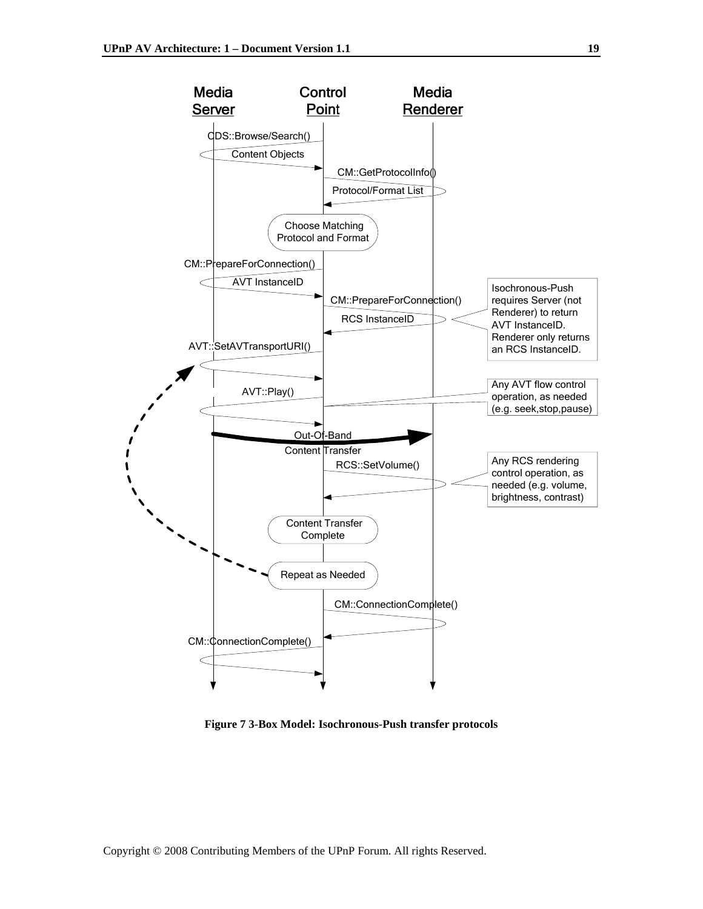

**Figure 7 3-Box Model: Isochronous-Push transfer protocols**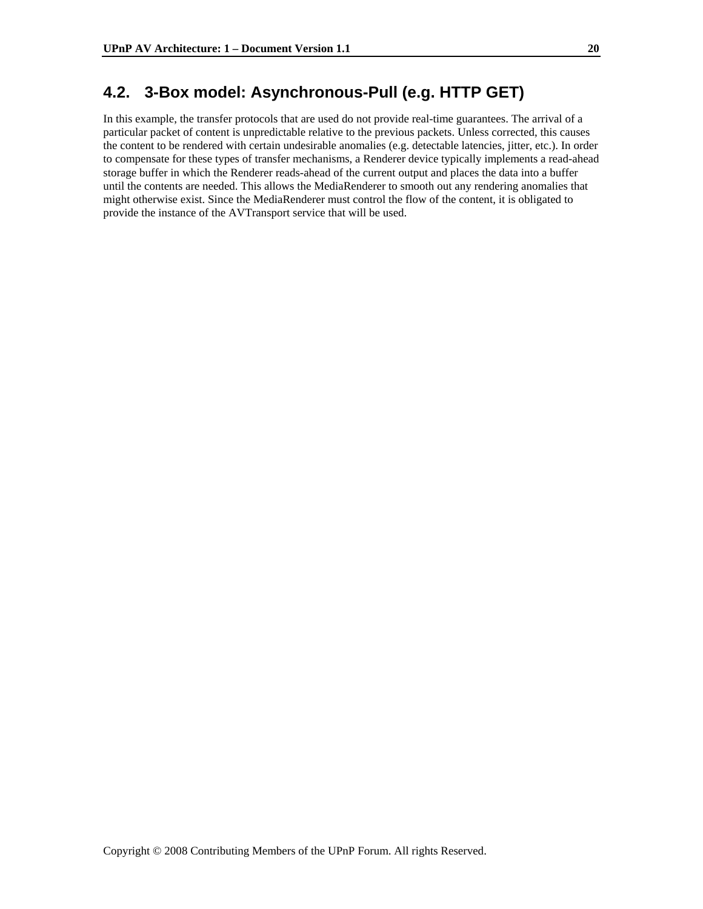### **4.2. 3-Box model: Asynchronous-Pull (e.g. HTTP GET)**

In this example, the transfer protocols that are used do not provide real-time guarantees. The arrival of a particular packet of content is unpredictable relative to the previous packets. Unless corrected, this causes the content to be rendered with certain undesirable anomalies (e.g. detectable latencies, jitter, etc.). In order to compensate for these types of transfer mechanisms, a Renderer device typically implements a read-ahead storage buffer in which the Renderer reads-ahead of the current output and places the data into a buffer until the contents are needed. This allows the MediaRenderer to smooth out any rendering anomalies that might otherwise exist. Since the MediaRenderer must control the flow of the content, it is obligated to provide the instance of the AVTransport service that will be used.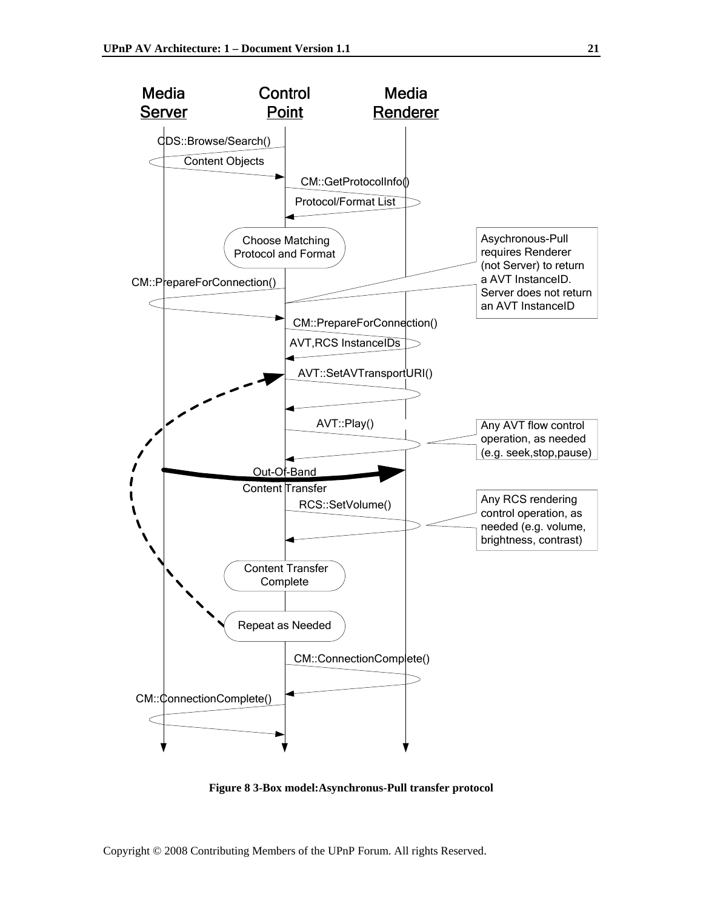

**Figure 8 3-Box model:Asynchronus-Pull transfer protocol**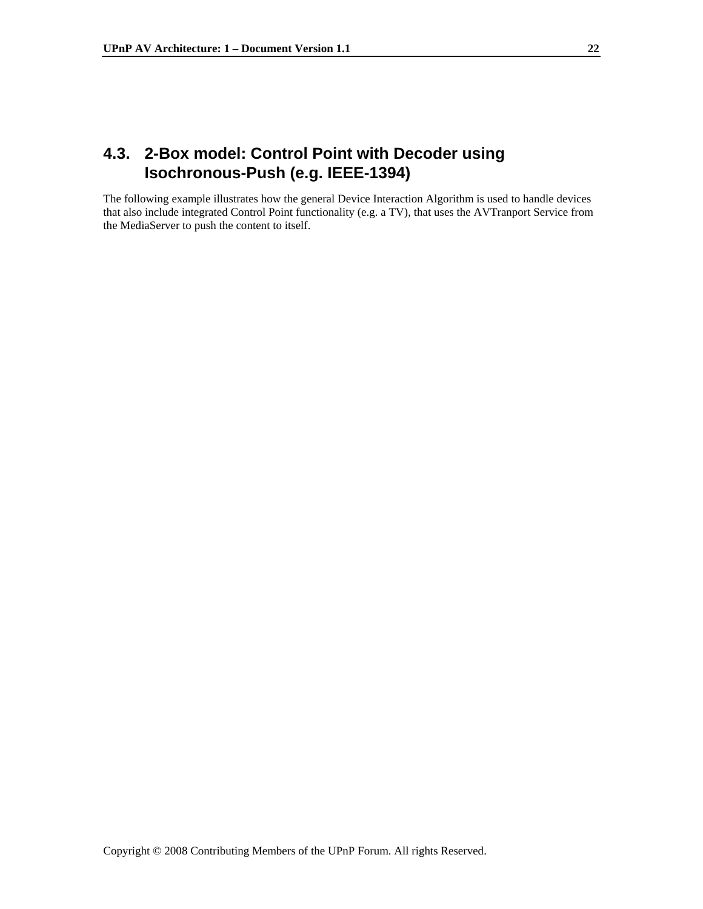## **4.3. 2-Box model: Control Point with Decoder using Isochronous-Push (e.g. IEEE-1394)**

The following example illustrates how the general Device Interaction Algorithm is used to handle devices that also include integrated Control Point functionality (e.g. a TV), that uses the AVTranport Service from the MediaServer to push the content to itself.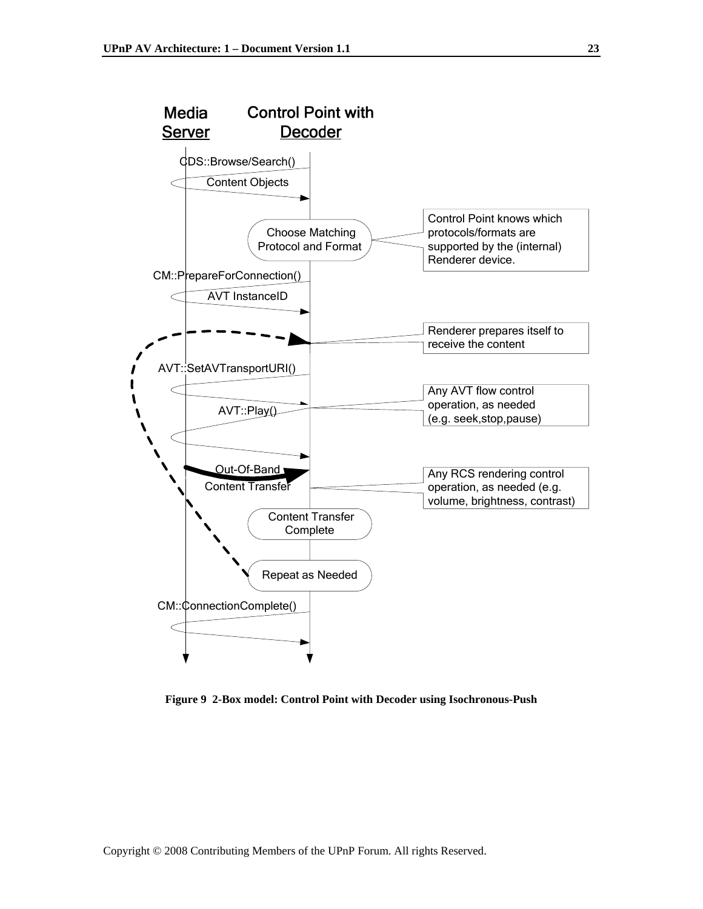

**Figure 9 2-Box model: Control Point with Decoder using Isochronous-Push**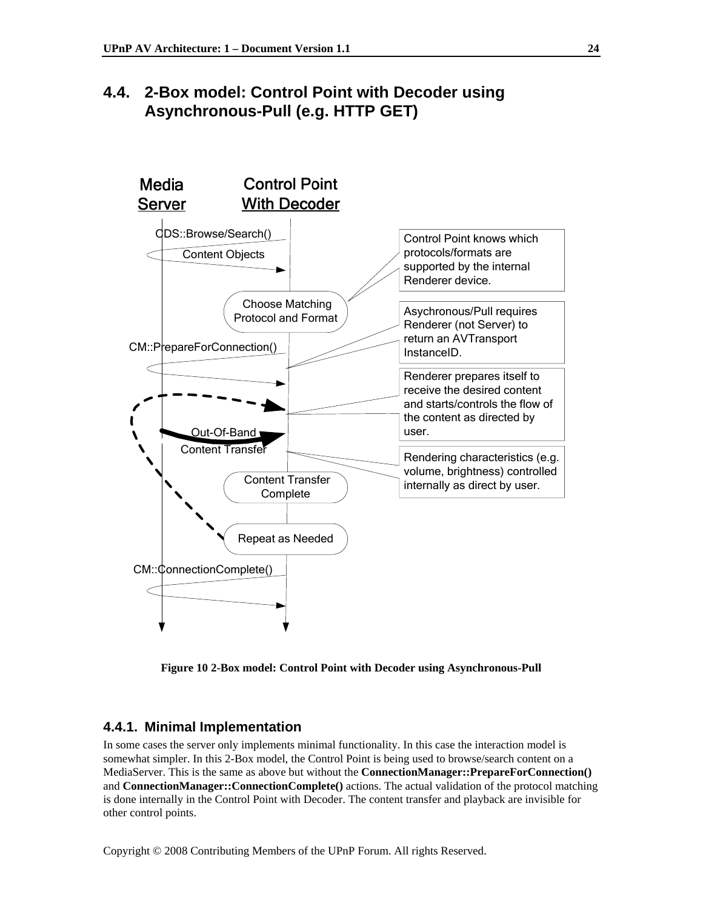## **4.4. 2-Box model: Control Point with Decoder using Asynchronous-Pull (e.g. HTTP GET)**



**Figure 10 2-Box model: Control Point with Decoder using Asynchronous-Pull** 

#### **4.4.1. Minimal Implementation**

In some cases the server only implements minimal functionality. In this case the interaction model is somewhat simpler. In this 2-Box model, the Control Point is being used to browse/search content on a MediaServer. This is the same as above but without the **ConnectionManager::PrepareForConnection()**  and **ConnectionManager::ConnectionComplete()** actions. The actual validation of the protocol matching is done internally in the Control Point with Decoder. The content transfer and playback are invisible for other control points.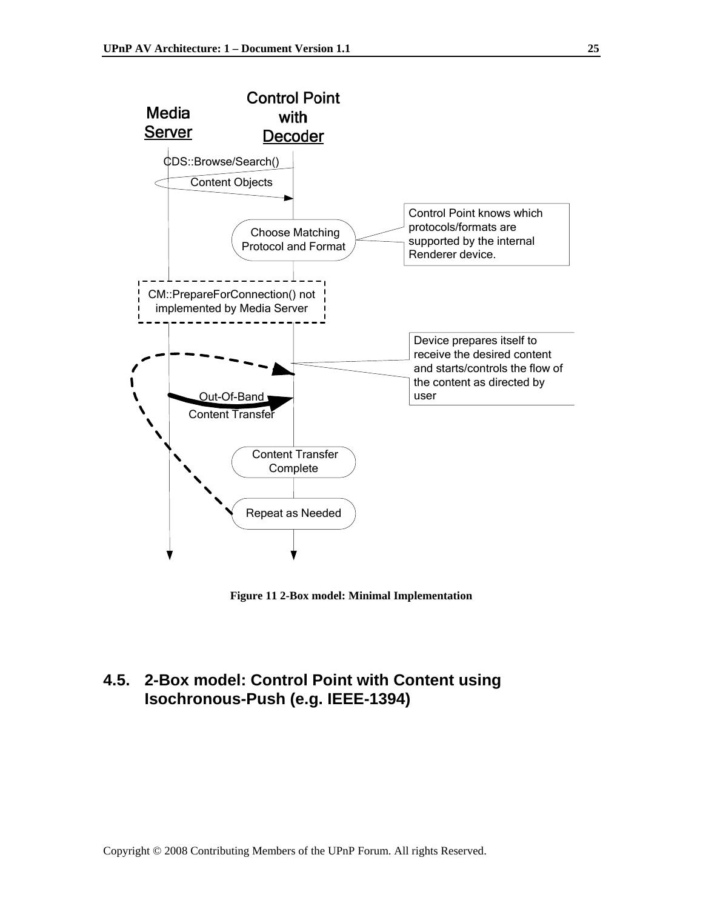

**Figure 11 2-Box model: Minimal Implementation** 

## **4.5. 2-Box model: Control Point with Content using Isochronous-Push (e.g. IEEE-1394)**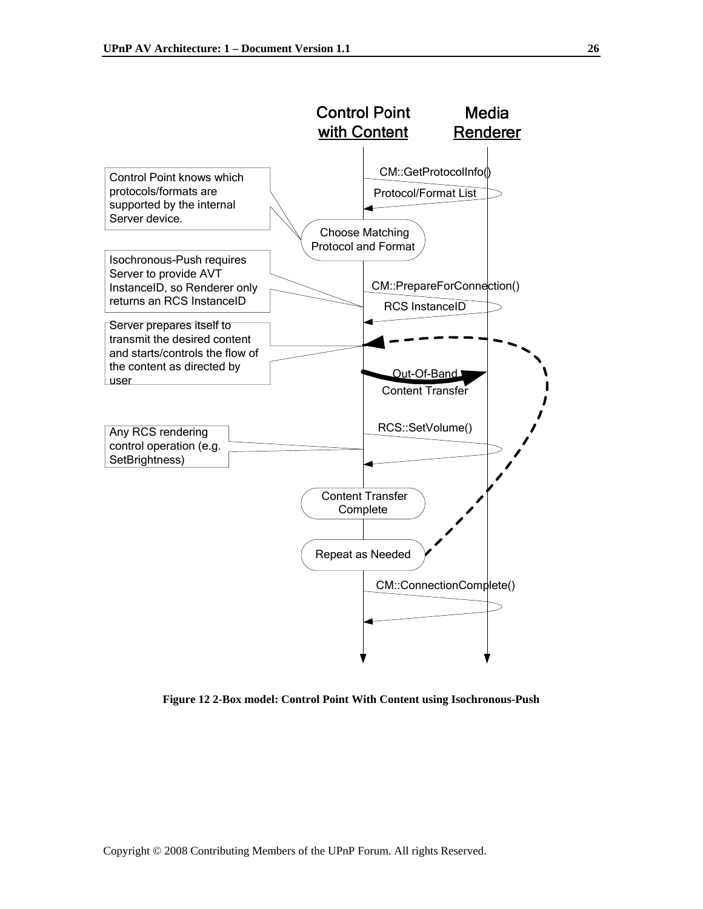

**Figure 12 2-Box model: Control Point With Content using Isochronous-Push**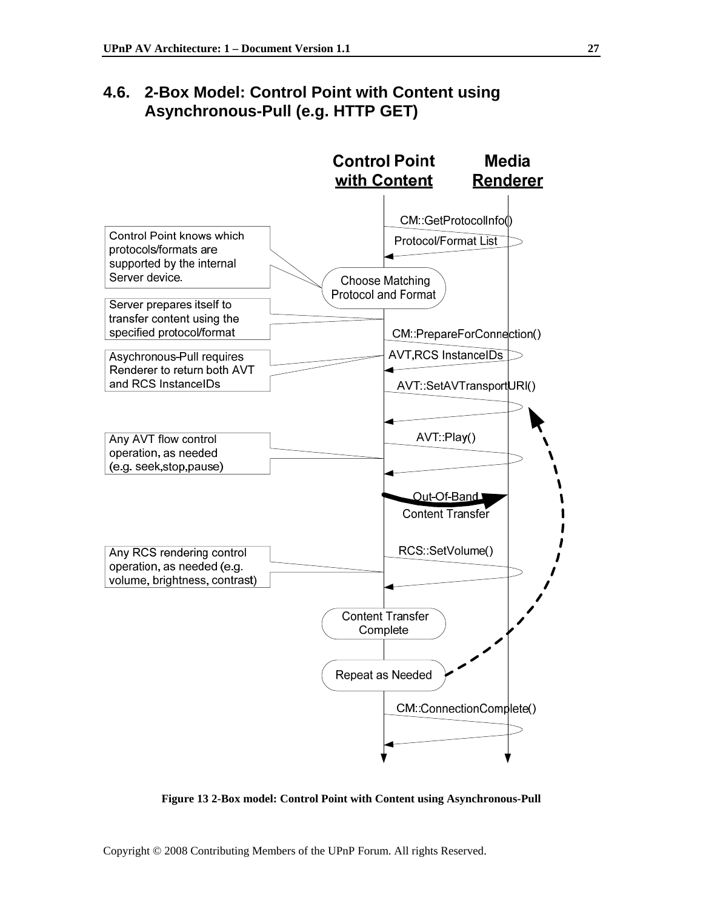## **4.6. 2-Box Model: Control Point with Content using Asynchronous-Pull (e.g. HTTP GET)**



**Figure 13 2-Box model: Control Point with Content using Asynchronous-Pull**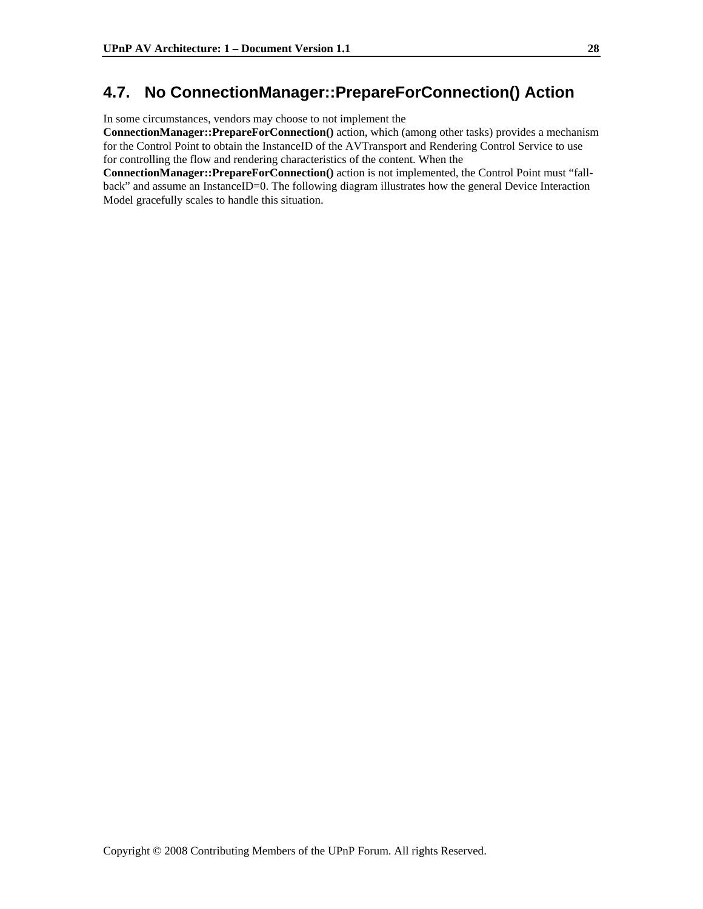## **4.7. No ConnectionManager::PrepareForConnection() Action**

In some circumstances, vendors may choose to not implement the

**ConnectionManager::PrepareForConnection()** action, which (among other tasks) provides a mechanism for the Control Point to obtain the InstanceID of the AVTransport and Rendering Control Service to use for controlling the flow and rendering characteristics of the content. When the

**ConnectionManager::PrepareForConnection()** action is not implemented, the Control Point must "fallback" and assume an InstanceID=0. The following diagram illustrates how the general Device Interaction Model gracefully scales to handle this situation.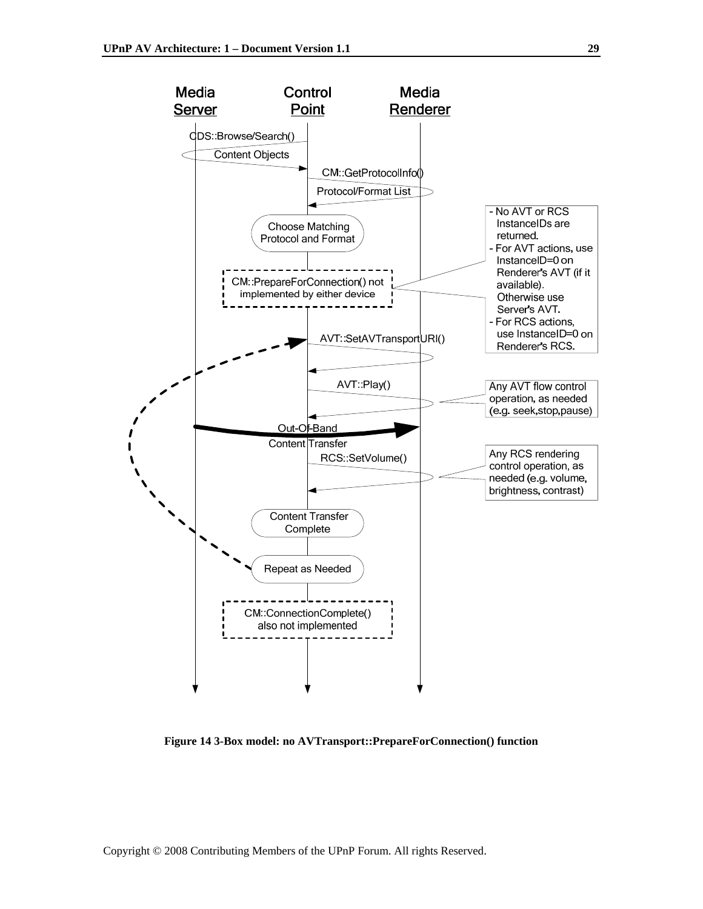

**Figure 14 3-Box model: no AVTransport::PrepareForConnection() function**